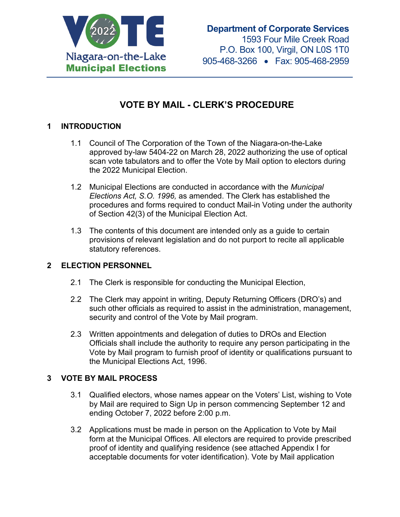

# **VOTE BY MAIL - CLERK'S PROCEDURE**

# **1 INTRODUCTION**

- 1.1 Council of The Corporation of the Town of the Niagara-on-the-Lake approved by-law 5404-22 on March 28, 2022 authorizing the use of optical scan vote tabulators and to offer the Vote by Mail option to electors during the 2022 Municipal Election.
- 1.2 Municipal Elections are conducted in accordance with the *Municipal Elections Act, S.O. 1996,* as amended. The Clerk has established the procedures and forms required to conduct Mail-in Voting under the authority of Section 42(3) of the Municipal Election Act.
- 1.3 The contents of this document are intended only as a guide to certain provisions of relevant legislation and do not purport to recite all applicable statutory references.

# **2 ELECTION PERSONNEL**

- 2.1 The Clerk is responsible for conducting the Municipal Election,
- 2.2 The Clerk may appoint in writing, Deputy Returning Officers (DRO's) and such other officials as required to assist in the administration, management, security and control of the Vote by Mail program.
- 2.3 Written appointments and delegation of duties to DROs and Election Officials shall include the authority to require any person participating in the Vote by Mail program to furnish proof of identity or qualifications pursuant to the Municipal Elections Act, 1996.

# **3 VOTE BY MAIL PROCESS**

- 3.1 Qualified electors, whose names appear on the Voters' List, wishing to Vote by Mail are required to Sign Up in person commencing September 12 and ending October 7, 2022 before 2:00 p.m.
- 3.2 Applications must be made in person on the Application to Vote by Mail form at the Municipal Offices. All electors are required to provide prescribed proof of identity and qualifying residence (see attached Appendix I for acceptable documents for voter identification). Vote by Mail application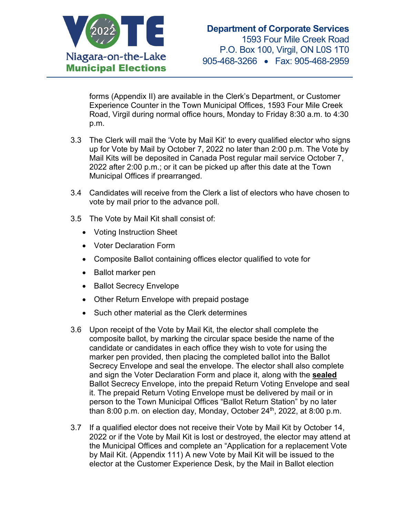

forms (Appendix II) are available in the Clerk's Department, or Customer Experience Counter in the Town Municipal Offices, 1593 Four Mile Creek Road, Virgil during normal office hours, Monday to Friday 8:30 a.m. to 4:30 p.m.

- 3.3 The Clerk will mail the 'Vote by Mail Kit' to every qualified elector who signs up for Vote by Mail by October 7, 2022 no later than 2:00 p.m. The Vote by Mail Kits will be deposited in Canada Post regular mail service October 7, 2022 after 2:00 p.m.; or it can be picked up after this date at the Town Municipal Offices if prearranged.
- 3.4 Candidates will receive from the Clerk a list of electors who have chosen to vote by mail prior to the advance poll.
- 3.5 The Vote by Mail Kit shall consist of:
	- Voting Instruction Sheet
	- Voter Declaration Form
	- Composite Ballot containing offices elector qualified to vote for
	- Ballot marker pen
	- Ballot Secrecy Envelope
	- Other Return Envelope with prepaid postage
	- Such other material as the Clerk determines
- 3.6 Upon receipt of the Vote by Mail Kit, the elector shall complete the composite ballot, by marking the circular space beside the name of the candidate or candidates in each office they wish to vote for using the marker pen provided, then placing the completed ballot into the Ballot Secrecy Envelope and seal the envelope. The elector shall also complete and sign the Voter Declaration Form and place it, along with the **sealed**  Ballot Secrecy Envelope, into the prepaid Return Voting Envelope and seal it. The prepaid Return Voting Envelope must be delivered by mail or in person to the Town Municipal Offices "Ballot Return Station" by no later than 8:00 p.m. on election day, Monday, October  $24<sup>th</sup>$ , 2022, at 8:00 p.m.
- 3.7 If a qualified elector does not receive their Vote by Mail Kit by October 14, 2022 or if the Vote by Mail Kit is lost or destroyed, the elector may attend at the Municipal Offices and complete an "Application for a replacement Vote by Mail Kit. (Appendix 111) A new Vote by Mail Kit will be issued to the elector at the Customer Experience Desk, by the Mail in Ballot election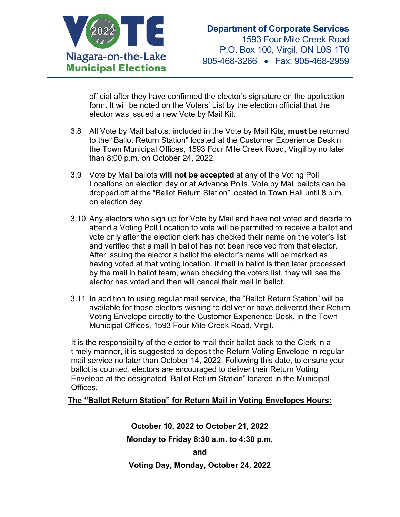

official after they have confirmed the elector's signature on the application form. It will be noted on the Voters' List by the election official that the elector was issued a new Vote by Mail Kit.

- 3.8 All Vote by Mail ballots, included in the Vote by Mail Kits, **must** be returned to the "Ballot Return Station" located at the Customer Experience Deskin the Town Municipal Offices, 1593 Four Mile Creek Road, Virgil by no later than 8:00 p.m. on October 24, 2022.
- 3.9 Vote by Mail ballots **will not be accepted** at any of the Voting Poll Locations on election day or at Advance Polls. Vote by Mail ballots can be dropped off at the "Ballot Return Station" located in Town Hall until 8 p.m. on election day.
- 3.10 Any electors who sign up for Vote by Mail and have not voted and decide to attend a Voting Poll Location to vote will be permitted to receive a ballot and vote only after the election clerk has checked their name on the voter's list and verified that a mail in ballot has not been received from that elector. After issuing the elector a ballot the elector's name will be marked as having voted at that voting location. If mail in ballot is then later processed by the mail in ballot team, when checking the voters list, they will see the elector has voted and then will cancel their mail in ballot.
- 3.11 In addition to using regular mail service, the "Ballot Return Station" will be available for those electors wishing to deliver or have delivered their Return Voting Envelope directly to the Customer Experience Desk, in the Town Municipal Offices, 1593 Four Mile Creek Road, Virgil.

It is the responsibility of the elector to mail their ballot back to the Clerk in a timely manner, it is suggested to deposit the Return Voting Envelope in regular mail service no later than October 14, 2022. Following this date, to ensure your ballot is counted, electors are encouraged to deliver their Return Voting Envelope at the designated "Ballot Return Station" located in the Municipal Offices.

#### **The "Ballot Return Station" for Return Mail in Voting Envelopes Hours:**

**October 10, 2022 to October 21, 2022 Monday to Friday 8:30 a.m. to 4:30 p.m. and Voting Day, Monday, October 24, 2022**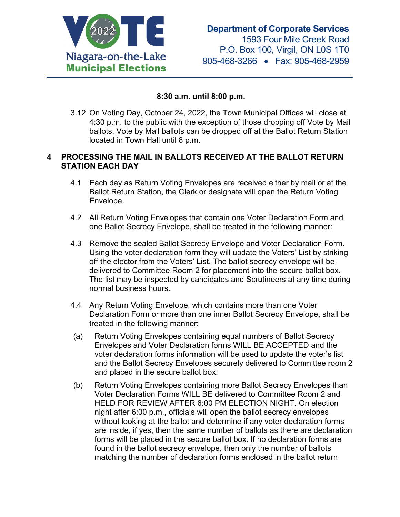

#### **8:30 a.m. until 8:00 p.m.**

3.12 On Voting Day, October 24, 2022, the Town Municipal Offices will close at 4:30 p.m. to the public with the exception of those dropping off Vote by Mail ballots. Vote by Mail ballots can be dropped off at the Ballot Return Station located in Town Hall until 8 p.m.

#### **4 PROCESSING THE MAIL IN BALLOTS RECEIVED AT THE BALLOT RETURN STATION EACH DAY**

- 4.1 Each day as Return Voting Envelopes are received either by mail or at the Ballot Return Station, the Clerk or designate will open the Return Voting Envelope.
- 4.2 All Return Voting Envelopes that contain one Voter Declaration Form and one Ballot Secrecy Envelope, shall be treated in the following manner:
- 4.3 Remove the sealed Ballot Secrecy Envelope and Voter Declaration Form. Using the voter declaration form they will update the Voters' List by striking off the elector from the Voters' List. The ballot secrecy envelope will be delivered to Committee Room 2 for placement into the secure ballot box. The list may be inspected by candidates and Scrutineers at any time during normal business hours.
- 4.4 Any Return Voting Envelope, which contains more than one Voter Declaration Form or more than one inner Ballot Secrecy Envelope, shall be treated in the following manner:
- (a) Return Voting Envelopes containing equal numbers of Ballot Secrecy Envelopes and Voter Declaration forms WILL BE ACCEPTED and the voter declaration forms information will be used to update the voter's list and the Ballot Secrecy Envelopes securely delivered to Committee room 2 and placed in the secure ballot box.
- (b) Return Voting Envelopes containing more Ballot Secrecy Envelopes than Voter Declaration Forms WILL BE delivered to Committee Room 2 and HELD FOR REVIEW AFTER 6:00 PM ELECTION NIGHT. On election night after 6:00 p.m., officials will open the ballot secrecy envelopes without looking at the ballot and determine if any voter declaration forms are inside, if yes, then the same number of ballots as there are declaration forms will be placed in the secure ballot box. If no declaration forms are found in the ballot secrecy envelope, then only the number of ballots matching the number of declaration forms enclosed in the ballot return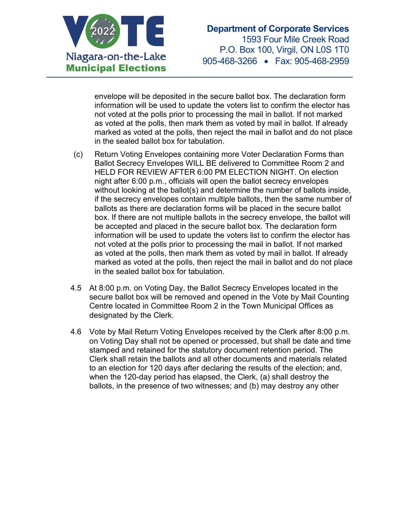

envelope will be deposited in the secure ballot box. The declaration form information will be used to update the voters list to confirm the elector has not voted at the polls prior to processing the mail in ballot. If not marked as voted at the polls, then mark them as voted by mail in ballot. If already marked as voted at the polls, then reject the mail in ballot and do not place in the sealed ballot box for tabulation.

- (c) Return Voting Envelopes containing more Voter Declaration Forms than Ballot Secrecy Envelopes WILL BE delivered to Committee Room 2 and HELD FOR REVIEW AFTER 6:00 PM ELECTION NIGHT. On election night after 6:00 p.m., officials will open the ballot secrecy envelopes without looking at the ballot(s) and determine the number of ballots inside, if the secrecy envelopes contain multiple ballots, then the same number of ballots as there are declaration forms will be placed in the secure ballot box. If there are not multiple ballots in the secrecy envelope, the ballot will be accepted and placed in the secure ballot box. The declaration form information will be used to update the voters list to confirm the elector has not voted at the polls prior to processing the mail in ballot. If not marked as voted at the polls, then mark them as voted by mail in ballot. If already marked as voted at the polls, then reject the mail in ballot and do not place in the sealed ballot box for tabulation.
- 4.5 At 8:00 p.m. on Voting Day, the Ballot Secrecy Envelopes located in the secure ballot box will be removed and opened in the Vote by Mail Counting Centre located in Committee Room 2 in the Town Municipal Offices as designated by the Clerk.
- 4.6 Vote by Mail Return Voting Envelopes received by the Clerk after 8:00 p.m. on Voting Day shall not be opened or processed, but shall be date and time stamped and retained for the statutory document retention period. The Clerk shall retain the ballots and all other documents and materials related to an election for 120 days after declaring the results of the election; and, when the 120-day period has elapsed, the Clerk, (a) shall destroy the ballots, in the presence of two witnesses; and (b) may destroy any other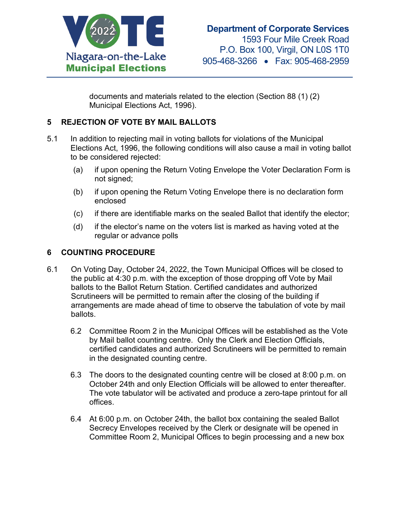

documents and materials related to the election (Section 88 (1) (2) Municipal Elections Act, 1996).

# **5 REJECTION OF VOTE BY MAIL BALLOTS**

- 5.1 In addition to rejecting mail in voting ballots for violations of the Municipal Elections Act, 1996, the following conditions will also cause a mail in voting ballot to be considered rejected:
	- (a) if upon opening the Return Voting Envelope the Voter Declaration Form is not signed;
	- (b) if upon opening the Return Voting Envelope there is no declaration form enclosed
	- (c) if there are identifiable marks on the sealed Ballot that identify the elector;
	- (d) if the elector's name on the voters list is marked as having voted at the regular or advance polls

# **6 COUNTING PROCEDURE**

- 6.1 On Voting Day, October 24, 2022, the Town Municipal Offices will be closed to the public at 4:30 p.m. with the exception of those dropping off Vote by Mail ballots to the Ballot Return Station. Certified candidates and authorized Scrutineers will be permitted to remain after the closing of the building if arrangements are made ahead of time to observe the tabulation of vote by mail ballots.
	- 6.2 Committee Room 2 in the Municipal Offices will be established as the Vote by Mail ballot counting centre. Only the Clerk and Election Officials, certified candidates and authorized Scrutineers will be permitted to remain in the designated counting centre.
	- 6.3 The doors to the designated counting centre will be closed at 8:00 p.m. on October 24th and only Election Officials will be allowed to enter thereafter. The vote tabulator will be activated and produce a zero-tape printout for all offices.
	- 6.4 At 6:00 p.m. on October 24th, the ballot box containing the sealed Ballot Secrecy Envelopes received by the Clerk or designate will be opened in Committee Room 2, Municipal Offices to begin processing and a new box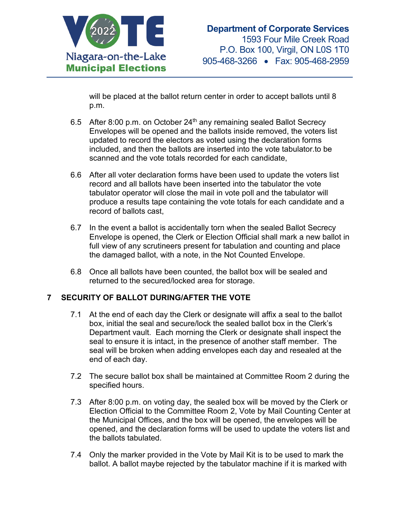

will be placed at the ballot return center in order to accept ballots until 8 p.m.

- 6.5 After 8:00 p.m. on October  $24<sup>th</sup>$  any remaining sealed Ballot Secrecy Envelopes will be opened and the ballots inside removed, the voters list updated to record the electors as voted using the declaration forms included, and then the ballots are inserted into the vote tabulator.to be scanned and the vote totals recorded for each candidate,
- 6.6 After all voter declaration forms have been used to update the voters list record and all ballots have been inserted into the tabulator the vote tabulator operator will close the mail in vote poll and the tabulator will produce a results tape containing the vote totals for each candidate and a record of ballots cast,
- 6.7 In the event a ballot is accidentally torn when the sealed Ballot Secrecy Envelope is opened, the Clerk or Election Official shall mark a new ballot in full view of any scrutineers present for tabulation and counting and place the damaged ballot, with a note, in the Not Counted Envelope.
- 6.8 Once all ballots have been counted, the ballot box will be sealed and returned to the secured/locked area for storage.

# **7 SECURITY OF BALLOT DURING/AFTER THE VOTE**

- 7.1 At the end of each day the Clerk or designate will affix a seal to the ballot box, initial the seal and secure/lock the sealed ballot box in the Clerk's Department vault. Each morning the Clerk or designate shall inspect the seal to ensure it is intact, in the presence of another staff member. The seal will be broken when adding envelopes each day and resealed at the end of each day.
- 7.2 The secure ballot box shall be maintained at Committee Room 2 during the specified hours.
- 7.3 After 8:00 p.m. on voting day, the sealed box will be moved by the Clerk or Election Official to the Committee Room 2, Vote by Mail Counting Center at the Municipal Offices, and the box will be opened, the envelopes will be opened, and the declaration forms will be used to update the voters list and the ballots tabulated.
- 7.4 Only the marker provided in the Vote by Mail Kit is to be used to mark the ballot. A ballot maybe rejected by the tabulator machine if it is marked with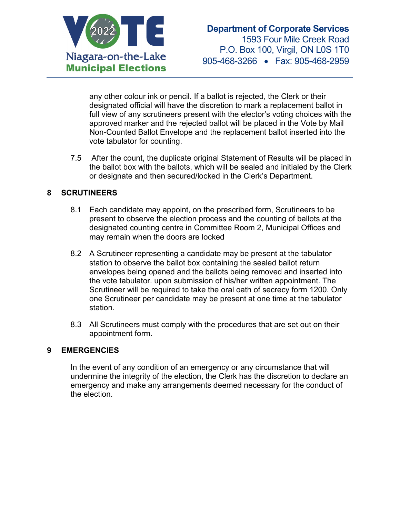

any other colour ink or pencil. If a ballot is rejected, the Clerk or their designated official will have the discretion to mark a replacement ballot in full view of any scrutineers present with the elector's voting choices with the approved marker and the rejected ballot will be placed in the Vote by Mail Non-Counted Ballot Envelope and the replacement ballot inserted into the vote tabulator for counting.

7.5 After the count, the duplicate original Statement of Results will be placed in the ballot box with the ballots, which will be sealed and initialed by the Clerk or designate and then secured/locked in the Clerk's Department.

# **8 SCRUTINEERS**

- 8.1 Each candidate may appoint, on the prescribed form, Scrutineers to be present to observe the election process and the counting of ballots at the designated counting centre in Committee Room 2, Municipal Offices and may remain when the doors are locked
- 8.2 A Scrutineer representing a candidate may be present at the tabulator station to observe the ballot box containing the sealed ballot return envelopes being opened and the ballots being removed and inserted into the vote tabulator. upon submission of his/her written appointment. The Scrutineer will be required to take the oral oath of secrecy form 1200. Only one Scrutineer per candidate may be present at one time at the tabulator station.
- 8.3 All Scrutineers must comply with the procedures that are set out on their appointment form.

# **9 EMERGENCIES**

In the event of any condition of an emergency or any circumstance that will undermine the integrity of the election, the Clerk has the discretion to declare an emergency and make any arrangements deemed necessary for the conduct of the election.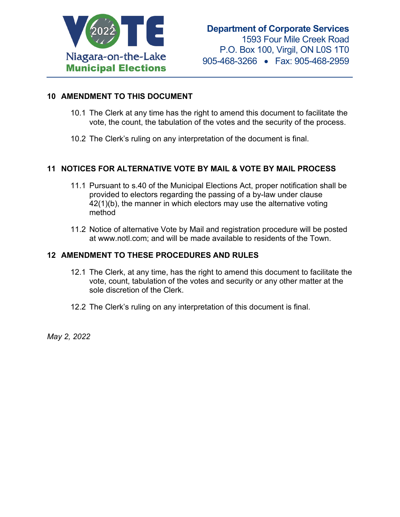

#### **10 AMENDMENT TO THIS DOCUMENT**

- 10.1 The Clerk at any time has the right to amend this document to facilitate the vote, the count, the tabulation of the votes and the security of the process.
- 10.2 The Clerk's ruling on any interpretation of the document is final.

### **11 NOTICES FOR ALTERNATIVE VOTE BY MAIL & VOTE BY MAIL PROCESS**

- 11.1 Pursuant to s.40 of the Municipal Elections Act, proper notification shall be provided to electors regarding the passing of a by-law under clause 42(1)(b), the manner in which electors may use the alternative voting method
- 11.2 Notice of alternative Vote by Mail and registration procedure will be posted at www.notl.com; and will be made available to residents of the Town.

#### **12 AMENDMENT TO THESE PROCEDURES AND RULES**

- 12.1 The Clerk, at any time, has the right to amend this document to facilitate the vote, count, tabulation of the votes and security or any other matter at the sole discretion of the Clerk.
- 12.2 The Clerk's ruling on any interpretation of this document is final.

*May 2, 2022*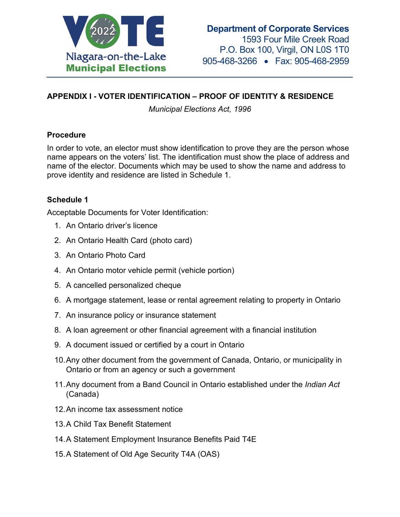

# **APPENDIX I - VOTER IDENTIFICATION – PROOF OF IDENTITY & RESIDENCE**

*Municipal Elections Act, 1996*

# **Procedure**

In order to vote, an elector must show identification to prove they are the person whose name appears on the voters' list. The identification must show the place of address and name of the elector. Documents which may be used to show the name and address to prove identity and residence are listed in Schedule 1.

# **Schedule 1**

Acceptable Documents for Voter Identification:

- 1. An Ontario driver's licence
- 2. An Ontario Health Card (photo card)
- 3. An Ontario Photo Card
- 4. An Ontario motor vehicle permit (vehicle portion)
- 5. A cancelled personalized cheque
- 6. A mortgage statement, lease or rental agreement relating to property in Ontario
- 7. An insurance policy or insurance statement
- 8. A loan agreement or other financial agreement with a financial institution
- 9. A document issued or certified by a court in Ontario
- 10.Any other document from the government of Canada, Ontario, or municipality in Ontario or from an agency or such a government
- 11.Any document from a Band Council in Ontario established under the *Indian Act* (Canada)
- 12.An income tax assessment notice
- 13.A Child Tax Benefit Statement
- 14.A Statement Employment Insurance Benefits Paid T4E
- 15.A Statement of Old Age Security T4A (OAS)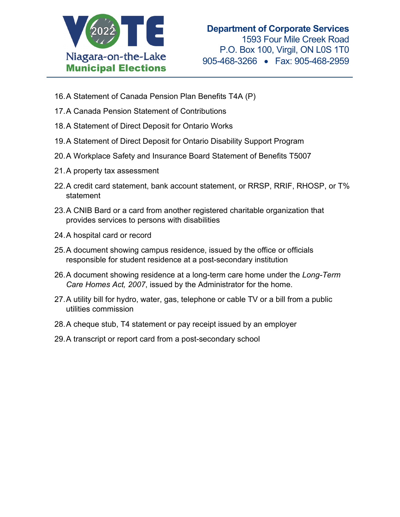

- 16.A Statement of Canada Pension Plan Benefits T4A (P)
- 17.A Canada Pension Statement of Contributions
- 18.A Statement of Direct Deposit for Ontario Works
- 19.A Statement of Direct Deposit for Ontario Disability Support Program
- 20.A Workplace Safety and Insurance Board Statement of Benefits T5007
- 21.A property tax assessment
- 22.A credit card statement, bank account statement, or RRSP, RRIF, RHOSP, or T% statement
- 23.A CNIB Bard or a card from another registered charitable organization that provides services to persons with disabilities
- 24.A hospital card or record
- 25.A document showing campus residence, issued by the office or officials responsible for student residence at a post-secondary institution
- 26.A document showing residence at a long-term care home under the *Long-Term Care Homes Act, 2007*, issued by the Administrator for the home.
- 27.A utility bill for hydro, water, gas, telephone or cable TV or a bill from a public utilities commission
- 28.A cheque stub, T4 statement or pay receipt issued by an employer
- 29.A transcript or report card from a post-secondary school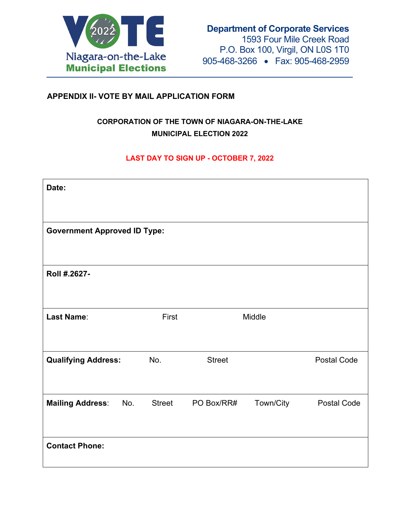

# **APPENDIX II- VOTE BY MAIL APPLICATION FORM**

# **CORPORATION OF THE TOWN OF NIAGARA-ON-THE-LAKE MUNICIPAL ELECTION 2022**

### **LAST DAY TO SIGN UP - OCTOBER 7, 2022**

| Date:                               |               |               |           |                    |
|-------------------------------------|---------------|---------------|-----------|--------------------|
| <b>Government Approved ID Type:</b> |               |               |           |                    |
| Roll #.2627-                        |               |               |           |                    |
| <b>Last Name:</b>                   | First         |               | Middle    |                    |
| <b>Qualifying Address:</b>          | No.           | <b>Street</b> |           | <b>Postal Code</b> |
| <b>Mailing Address:</b><br>No.      | <b>Street</b> | PO Box/RR#    | Town/City | <b>Postal Code</b> |
| <b>Contact Phone:</b>               |               |               |           |                    |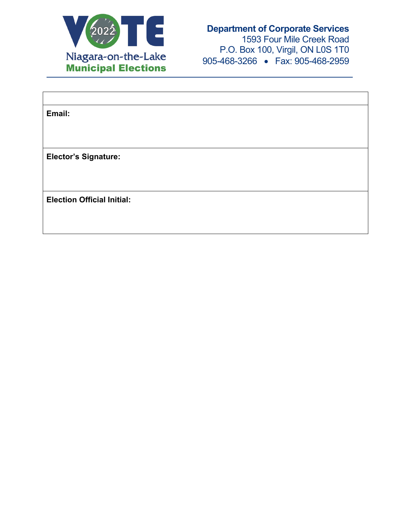

# **Department of Corporate Services**

1593 Four Mile Creek Road P.O. Box 100, Virgil, ON L0S 1T0 905-468-3266 • Fax: 905-468-2959

| Email:                            |  |
|-----------------------------------|--|
|                                   |  |
|                                   |  |
| <b>Elector's Signature:</b>       |  |
|                                   |  |
|                                   |  |
| <b>Election Official Initial:</b> |  |
|                                   |  |
|                                   |  |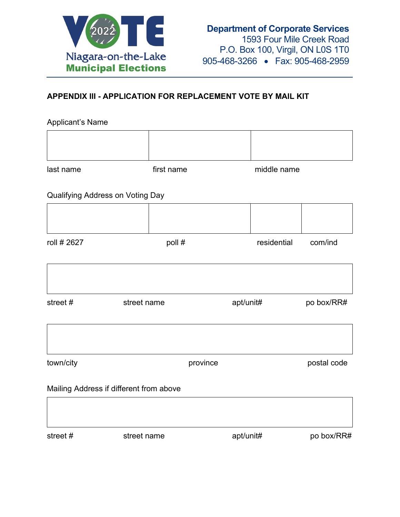

# **APPENDIX III - APPLICATION FOR REPLACEMENT VOTE BY MAIL KIT**

#### Applicant's Name

| last name | first name | middle name |  |
|-----------|------------|-------------|--|
|           |            |             |  |
|           |            |             |  |

# Qualifying Address on Voting Day

| roll # 2627 | poll # | residential | com/ind |
|-------------|--------|-------------|---------|
|             |        |             |         |

| street # | street name | apt/unit# | po box/RR# |
|----------|-------------|-----------|------------|
|          |             |           |            |
|          |             |           |            |

| town/city | province | postal code |
|-----------|----------|-------------|

#### Mailing Address if different from above

street # street name apt/unit# po box/RR#